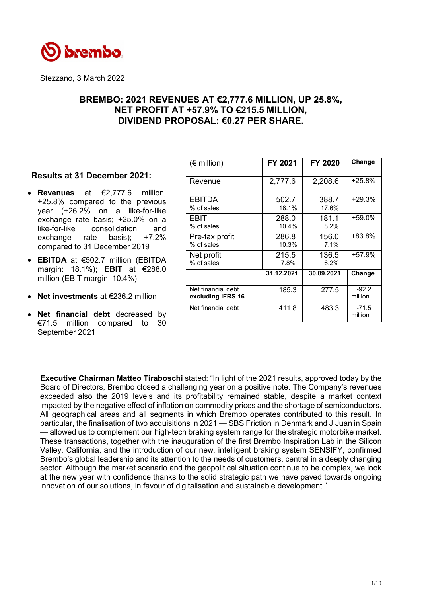

Stezzano, 3 March 2022

# **BREMBO: 2021 REVENUES AT €2,777.6 MILLION, UP 25.8%, NET PROFIT AT +57.9% TO €215.5 MILLION, DIVIDEND PROPOSAL: €0.27 PER SHARE.**

## **Results at 31 December 2021:**

- **Revenues** at €2,777.6 million, +25.8% compared to the previous year (+26.2% on a like-for-like exchange rate basis; +25.0% on a like-for-like consolidation and exchange rate basis); +7.2% compared to 31 December 2019
- **EBITDA** at €502.7 million (EBITDA margin: 18.1%); **EBIT** at €288.0 million (EBIT margin: 10.4%)
- **Net investments** at €236.2 million
- **Net financial debt** decreased by €71.5 million compared to 30 September 2021

| $(\epsilon$ million)                    | FY 2021        | FY 2020        | Change             |
|-----------------------------------------|----------------|----------------|--------------------|
| Revenue                                 | 2,777.6        | 2,208.6        | $+25.8%$           |
| EBITDA<br>% of sales                    | 502.7<br>18.1% | 388.7<br>17.6% | $+29.3%$           |
| EBIT<br>% of sales                      | 288.0<br>10.4% | 181.1<br>8.2%  | $+59.0%$           |
| Pre-tax profit<br>% of sales            | 286.8<br>10.3% | 156.0<br>7.1%  | +83.8%             |
| Net profit<br>% of sales                | 215.5<br>7.8%  | 136.5<br>6.2%  | +57.9%             |
|                                         | 31.12.2021     | 30.09.2021     | Change             |
| Net financial debt<br>excluding IFRS 16 | 185.3          | 277.5          | $-92.2$<br>million |
| Net financial debt                      | 411.8          | 483.3          | $-71.5$<br>million |

**Executive Chairman Matteo Tiraboschi** stated: "In light of the 2021 results, approved today by the Board of Directors, Brembo closed a challenging year on a positive note. The Company's revenues exceeded also the 2019 levels and its profitability remained stable, despite a market context impacted by the negative effect of inflation on commodity prices and the shortage of semiconductors. All geographical areas and all segments in which Brembo operates contributed to this result. In particular, the finalisation of two acquisitions in 2021 — SBS Friction in Denmark and J.Juan in Spain — allowed us to complement our high-tech braking system range for the strategic motorbike market. These transactions, together with the inauguration of the first Brembo Inspiration Lab in the Silicon Valley, California, and the introduction of our new, intelligent braking system SENSIFY, confirmed Brembo's global leadership and its attention to the needs of customers, central in a deeply changing sector. Although the market scenario and the geopolitical situation continue to be complex, we look at the new year with confidence thanks to the solid strategic path we have paved towards ongoing innovation of our solutions, in favour of digitalisation and sustainable development."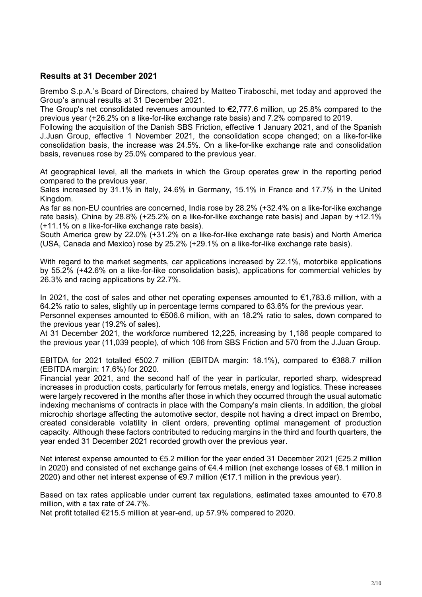# **Results at 31 December 2021**

Brembo S.p.A.'s Board of Directors, chaired by Matteo Tiraboschi, met today and approved the Group's annual results at 31 December 2021.

The Group's net consolidated revenues amounted to  $\epsilon$ 2.777.6 million, up 25.8% compared to the previous year (+26.2% on a like-for-like exchange rate basis) and 7.2% compared to 2019.

Following the acquisition of the Danish SBS Friction, effective 1 January 2021, and of the Spanish J.Juan Group, effective 1 November 2021, the consolidation scope changed; on a like-for-like consolidation basis, the increase was 24.5%. On a like-for-like exchange rate and consolidation basis, revenues rose by 25.0% compared to the previous year.

At geographical level, all the markets in which the Group operates grew in the reporting period compared to the previous year.

Sales increased by 31.1% in Italy, 24.6% in Germany, 15.1% in France and 17.7% in the United Kingdom.

As far as non-EU countries are concerned, India rose by 28.2% (+32.4% on a like-for-like exchange rate basis), China by 28.8% (+25.2% on a like-for-like exchange rate basis) and Japan by +12.1% (+11.1% on a like-for-like exchange rate basis).

South America grew by 22.0% (+31.2% on a like-for-like exchange rate basis) and North America (USA, Canada and Mexico) rose by 25.2% (+29.1% on a like-for-like exchange rate basis).

With regard to the market segments, car applications increased by 22.1%, motorbike applications by 55.2% (+42.6% on a like-for-like consolidation basis), applications for commercial vehicles by 26.3% and racing applications by 22.7%.

In 2021, the cost of sales and other net operating expenses amounted to  $\epsilon$ 1,783.6 million, with a 64.2% ratio to sales, slightly up in percentage terms compared to 63.6% for the previous year.

Personnel expenses amounted to €506.6 million, with an 18.2% ratio to sales, down compared to the previous year (19.2% of sales).

At 31 December 2021, the workforce numbered 12,225, increasing by 1,186 people compared to the previous year (11,039 people), of which 106 from SBS Friction and 570 from the J.Juan Group.

EBITDA for 2021 totalled €502.7 million (EBITDA margin: 18.1%), compared to €388.7 million (EBITDA margin: 17.6%) for 2020.

Financial year 2021, and the second half of the year in particular, reported sharp, widespread increases in production costs, particularly for ferrous metals, energy and logistics. These increases were largely recovered in the months after those in which they occurred through the usual automatic indexing mechanisms of contracts in place with the Company's main clients. In addition, the global microchip shortage affecting the automotive sector, despite not having a direct impact on Brembo, created considerable volatility in client orders, preventing optimal management of production capacity. Although these factors contributed to reducing margins in the third and fourth quarters, the year ended 31 December 2021 recorded growth over the previous year.

Net interest expense amounted to €5.2 million for the year ended 31 December 2021 (€25.2 million in 2020) and consisted of net exchange gains of €4.4 million (net exchange losses of €8.1 million in 2020) and other net interest expense of €9.7 million (€17.1 million in the previous year).

Based on tax rates applicable under current tax regulations, estimated taxes amounted to  $\epsilon$ 70.8 million, with a tax rate of 24.7%.

Net profit totalled €215.5 million at year-end, up 57.9% compared to 2020.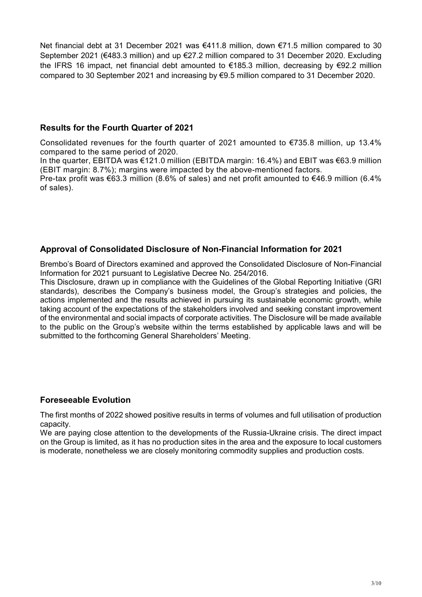Net financial debt at 31 December 2021 was €411.8 million, down €71.5 million compared to 30 September 2021 (€483.3 million) and up €27.2 million compared to 31 December 2020. Excluding the IFRS 16 impact, net financial debt amounted to €185.3 million, decreasing by €92.2 million compared to 30 September 2021 and increasing by €9.5 million compared to 31 December 2020.

# **Results for the Fourth Quarter of 2021**

Consolidated revenues for the fourth quarter of 2021 amounted to €735.8 million, up 13.4% compared to the same period of 2020.

In the quarter, EBITDA was €121.0 million (EBITDA margin: 16.4%) and EBIT was €63.9 million (EBIT margin: 8.7%); margins were impacted by the above-mentioned factors.

Pre-tax profit was €63.3 million (8.6% of sales) and net profit amounted to €46.9 million (6.4% of sales).

# **Approval of Consolidated Disclosure of Non-Financial Information for 2021**

Brembo's Board of Directors examined and approved the Consolidated Disclosure of Non-Financial Information for 2021 pursuant to Legislative Decree No. 254/2016.

This Disclosure, drawn up in compliance with the Guidelines of the Global Reporting Initiative (GRI standards), describes the Company's business model, the Group's strategies and policies, the actions implemented and the results achieved in pursuing its sustainable economic growth, while taking account of the expectations of the stakeholders involved and seeking constant improvement of the environmental and social impacts of corporate activities. The Disclosure will be made available to the public on the Group's website within the terms established by applicable laws and will be submitted to the forthcoming General Shareholders' Meeting.

# **Foreseeable Evolution**

The first months of 2022 showed positive results in terms of volumes and full utilisation of production capacity.

We are paying close attention to the developments of the Russia-Ukraine crisis. The direct impact on the Group is limited, as it has no production sites in the area and the exposure to local customers is moderate, nonetheless we are closely monitoring commodity supplies and production costs.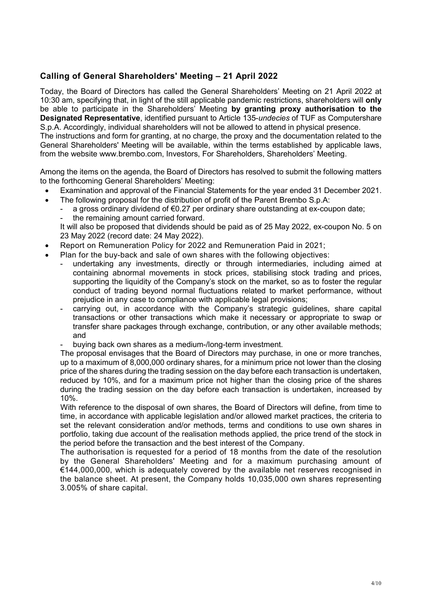# **Calling of General Shareholders' Meeting – 21 April 2022**

Today, the Board of Directors has called the General Shareholders' Meeting on 21 April 2022 at 10:30 am, specifying that, in light of the still applicable pandemic restrictions, shareholders will **only** be able to participate in the Shareholders' Meeting **by granting proxy authorisation to the Designated Representative**, identified pursuant to Article 135-*undecies* of TUF as Computershare S.p.A. Accordingly, individual shareholders will not be allowed to attend in physical presence. The instructions and form for granting, at no charge, the proxy and the documentation related to the General Shareholders' Meeting will be available, within the terms established by applicable laws, from the website www.brembo.com, Investors, For Shareholders, Shareholders' Meeting.

Among the items on the agenda, the Board of Directors has resolved to submit the following matters to the forthcoming General Shareholders' Meeting:

- Examination and approval of the Financial Statements for the year ended 31 December 2021.
- The following proposal for the distribution of profit of the Parent Brembo S.p.A:
	- a gross ordinary dividend of €0.27 per ordinary share outstanding at ex-coupon date;
	- the remaining amount carried forward.

It will also be proposed that dividends should be paid as of 25 May 2022, ex-coupon No. 5 on 23 May 2022 (record date: 24 May 2022).

- Report on Remuneration Policy for 2022 and Remuneration Paid in 2021;
- Plan for the buy-back and sale of own shares with the following objectives:
	- undertaking any investments, directly or through intermediaries, including aimed at containing abnormal movements in stock prices, stabilising stock trading and prices, supporting the liquidity of the Company's stock on the market, so as to foster the regular conduct of trading beyond normal fluctuations related to market performance, without prejudice in any case to compliance with applicable legal provisions;
	- carrying out, in accordance with the Company's strategic guidelines, share capital transactions or other transactions which make it necessary or appropriate to swap or transfer share packages through exchange, contribution, or any other available methods; and
	- buying back own shares as a medium-/long-term investment.

The proposal envisages that the Board of Directors may purchase, in one or more tranches, up to a maximum of 8,000,000 ordinary shares, for a minimum price not lower than the closing price of the shares during the trading session on the day before each transaction is undertaken, reduced by 10%, and for a maximum price not higher than the closing price of the shares during the trading session on the day before each transaction is undertaken, increased by 10%.

With reference to the disposal of own shares, the Board of Directors will define, from time to time, in accordance with applicable legislation and/or allowed market practices, the criteria to set the relevant consideration and/or methods, terms and conditions to use own shares in portfolio, taking due account of the realisation methods applied, the price trend of the stock in the period before the transaction and the best interest of the Company.

The authorisation is requested for a period of 18 months from the date of the resolution by the General Shareholders' Meeting and for a maximum purchasing amount of €144,000,000, which is adequately covered by the available net reserves recognised in the balance sheet. At present, the Company holds 10,035,000 own shares representing 3.005% of share capital.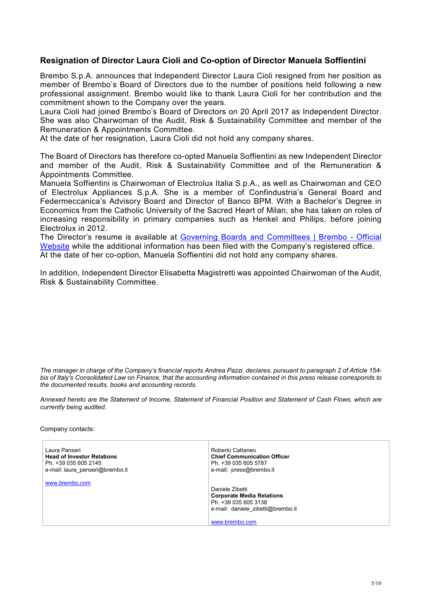## **Resignation of Director Laura Cioli and Co-option of Director Manuela Soffientini**

Brembo S.p.A. announces that Independent Director Laura Cioli resigned from her position as member of Brembo's Board of Directors due to the number of positions held following a new professional assignment. Brembo would like to thank Laura Cioli for her contribution and the commitment shown to the Company over the years.

Laura Cioli had joined Brembo's Board of Directors on 20 April 2017 as Independent Director. She was also Chairwoman of the Audit, Risk & Sustainability Committee and member of the Remuneration & Appointments Committee.

At the date of her resignation, Laura Cioli did not hold any company shares.

The Board of Directors has therefore co-opted Manuela Soffientini as new Independent Director and member of the Audit, Risk & Sustainability Committee and of the Remuneration & Appointments Committee.

Manuela Soffientini is Chairwoman of Electrolux Italia S.p.A., as well as Chairwoman and CEO of Electrolux Appliances S.p.A. She is a member of Confindustria's General Board and Federmeccanica's Advisory Board and Director of Banco BPM. With a Bachelor's Degree in Economics from the Catholic University of the Sacred Heart of Milan, she has taken on roles of increasing responsibility in primary companies such as Henkel and Philips, before joining Electrolux in 2012.

The Director's resume is available at Governing Boards and Committees | Brembo - Official Website while the additional information has been filed with the Company's registered office. At the date of her co-option, Manuela Soffientini did not hold any company shares.

In addition, Independent Director Elisabetta Magistretti was appointed Chairwoman of the Audit, Risk & Sustainability Committee.

*The manager in charge of the Company's financial reports Andrea Pazzi, declares, pursuant to paragraph 2 of Article 154 bis of Italy's Consolidated Law on Finance, that the accounting information contained in this press release corresponds to the documented results, books and accounting records.* 

*Annexed hereto are the Statement of Income, Statement of Financial Position and Statement of Cash Flows, which are currently being audited.* 

Company contacts:

| Laura Panseri                     | Roberto Cattaneo                                                                                                                   |
|-----------------------------------|------------------------------------------------------------------------------------------------------------------------------------|
| <b>Head of Investor Relations</b> | <b>Chief Communication Officer</b>                                                                                                 |
| Ph. +39 035 605 2145              | Ph. +39 035 605 5787                                                                                                               |
| e-mail: laura panseri@brembo.it   | e-mail: press@brembo.it                                                                                                            |
| www.brembo.com                    | Daniele Zibetti<br><b>Corporate Media Relations</b><br>Ph. +39 035 605 3138<br>e-mail: daniele zibetti@brembo.it<br>www.brembo.com |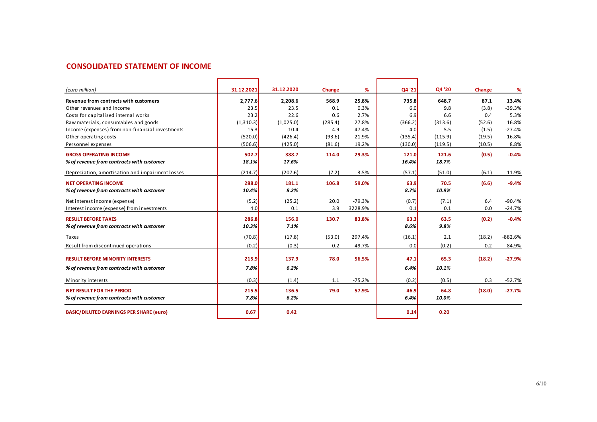## **CONSOLIDATED STATEMENT OF INCOME**

| (euro million)                                   | 31.12.2021 | 31.12.2020 | Change  | ℅        | Q4 '21  | Q4 '20  | Change | ℅         |
|--------------------------------------------------|------------|------------|---------|----------|---------|---------|--------|-----------|
| Revenue from contracts with customers            | 2.777.6    | 2.208.6    | 568.9   | 25.8%    | 735.8   | 648.7   | 87.1   | 13.4%     |
| Other revenues and income                        | 23.5       | 23.5       | 0.1     | 0.3%     | 6.0     | 9.8     | (3.8)  | $-39.3%$  |
| Costs for capitalised internal works             | 23.2       | 22.6       | 0.6     | 2.7%     | 6.9     | 6.6     | 0.4    | 5.3%      |
| Raw materials, consumables and goods             | (1,310.3)  | (1,025.0)  | (285.4) | 27.8%    | (366.2) | (313.6) | (52.6) | 16.8%     |
| Income (expenses) from non-financial investments | 15.3       | 10.4       | 4.9     | 47.4%    | 4.0     | 5.5     | (1.5)  | $-27.4%$  |
| Other operating costs                            | (520.0)    | (426.4)    | (93.6)  | 21.9%    | (135.4) | (115.9) | (19.5) | 16.8%     |
| Personnel expenses                               | (506.6)    | (425.0)    | (81.6)  | 19.2%    | (130.0) | (119.5) | (10.5) | 8.8%      |
| <b>GROSS OPERATING INCOME</b>                    | 502.7      | 388.7      | 114.0   | 29.3%    | 121.0   | 121.6   | (0.5)  | $-0.4%$   |
| % of revenue from contracts with customer        | 18.1%      | 17.6%      |         |          | 16.4%   | 18.7%   |        |           |
| Depreciation, amortisation and impairment losses | (214.7)    | (207.6)    | (7.2)   | 3.5%     | (57.1)  | (51.0)  | (6.1)  | 11.9%     |
| <b>NET OPERATING INCOME</b>                      | 288.0      | 181.1      | 106.8   | 59.0%    | 63.9    | 70.5    | (6.6)  | $-9.4%$   |
| % of revenue from contracts with customer        | 10.4%      | 8.2%       |         |          | 8.7%    | 10.9%   |        |           |
| Net interest income (expense)                    | (5.2)      | (25.2)     | 20.0    | $-79.3%$ | (0.7)   | (7.1)   | 6.4    | $-90.4%$  |
| Interest income (expense) from investments       | 4.0        | 0.1        | 3.9     | 3228.9%  | 0.1     | 0.1     | 0.0    | $-24.7%$  |
| <b>RESULT BEFORE TAXES</b>                       | 286.8      | 156.0      | 130.7   | 83.8%    | 63.3    | 63.5    | (0.2)  | $-0.4%$   |
| % of revenue from contracts with customer        | 10.3%      | 7.1%       |         |          | 8.6%    | 9.8%    |        |           |
| Taxes                                            | (70.8)     | (17.8)     | (53.0)  | 297.4%   | (16.1)  | 2.1     | (18.2) | $-882.6%$ |
| Result from discontinued operations              | (0.2)      | (0.3)      | 0.2     | $-49.7%$ | 0.0     | (0.2)   | 0.2    | $-84.9%$  |
| <b>RESULT BEFORE MINORITY INTERESTS</b>          | 215.9      | 137.9      | 78.0    | 56.5%    | 47.1    | 65.3    | (18.2) | $-27.9%$  |
| % of revenue from contracts with customer        | 7.8%       | 6.2%       |         |          | 6.4%    | 10.1%   |        |           |
| Minority interests                               | (0.3)      | (1.4)      | 1.1     | $-75.2%$ | (0.2)   | (0.5)   | 0.3    | $-52.7%$  |
|                                                  |            |            |         |          |         |         |        |           |
| <b>NET RESULT FOR THE PERIOD</b>                 | 215.5      | 136.5      | 79.0    | 57.9%    | 46.9    | 64.8    | (18.0) | $-27.7%$  |
| % of revenue from contracts with customer        | 7.8%       | 6.2%       |         |          | 6.4%    | 10.0%   |        |           |
| <b>BASIC/DILUTED EARNINGS PER SHARE (euro)</b>   | 0.67       | 0.42       |         |          | 0.14    | 0.20    |        |           |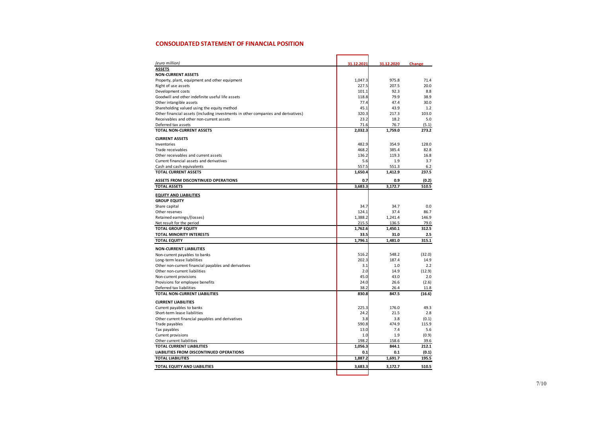#### **CONSOLIDATED STATEMENT OF FINANCIAL POSITION**

| (euro million)                                                                    | 31.12.2021 | 31.12.2020 | Change |
|-----------------------------------------------------------------------------------|------------|------------|--------|
| <b>ASSETS</b>                                                                     |            |            |        |
| <b>NON-CURRENT ASSETS</b>                                                         |            |            |        |
| Property, plant, equipment and other equipment                                    | 1,047.3    | 975.8      | 71.4   |
| Right of use assets                                                               | 227.5      | 207.5      | 20.0   |
| Development costs                                                                 | 101.1      | 92.3       | 8.8    |
| Goodwill and other indefinite useful life assets                                  | 118.8      | 79.9       | 38.9   |
| Other intangible assets                                                           | 77.4       | 47.4       | 30.0   |
| Shareholding valued using the equity method                                       | 45.1       | 43.9       | 1.2    |
| Other financial assets (including investments in other companies and derivatives) | 320.3      | 217.3      | 103.0  |
| Receivables and other non-current assets                                          | 23.2       | 18.2       | 5.0    |
| Deferred tax assets                                                               | 71.6       | 76.7       | (5.1)  |
| <b>TOTAL NON-CURRENT ASSETS</b>                                                   | 2,032.3    | 1,759.0    | 273.2  |
| <b>CURRENT ASSETS</b>                                                             |            |            |        |
| Inventories                                                                       | 482.9      | 354.9      | 128.0  |
| Trade receivables                                                                 | 468.2      | 385.4      | 82.8   |
| Other receivables and current assets                                              | 136.2      | 119.3      | 16.8   |
| Current financial assets and derivatives                                          | 5.6        | 1.9        | 3.7    |
| Cash and cash equivalents                                                         | 557.5      | 551.3      | 6.2    |
| <b>TOTAL CURRENT ASSETS</b>                                                       | 1,650.4    | 1,412.9    | 237.5  |
| ASSETS FROM DISCONTINUED OPERATIONS                                               | 0.7        | 0.9        | (0.2)  |
| <b>TOTAL ASSETS</b>                                                               | 3,683.3    | 3,172.7    | 510.5  |
| <b>EQUITY AND LIABILITIES</b>                                                     |            |            |        |
| <b>GROUP EQUITY</b>                                                               |            |            |        |
| Share capital                                                                     | 34.7       | 34.7       | 0.0    |
| Other reserves                                                                    | 124.1      | 37.4       | 86.7   |
| Retained earnings/(losses)                                                        | 1,388.2    | 1,241.4    | 146.9  |
| Net result for the period                                                         | 215.5      | 136.5      | 79.0   |
| <b>TOTAL GROUP EQUITY</b>                                                         | 1,762.6    | 1,450.1    | 312.5  |
| <b>TOTAL MINORITY INTERESTS</b>                                                   | 33.5       | 31.0       | 2.5    |
| <b>TOTAL EQUITY</b>                                                               | 1,796.1    | 1,481.0    | 315.1  |
| <b>NON-CURRENT LIABILITIES</b>                                                    |            |            |        |
| Non-current payables to banks                                                     | 516.2      | 548.2      | (32.0) |
| Long-term lease liabilities                                                       | 202.3      | 187.4      | 14.9   |
| Other non-current financial payables and derivatives                              | 3.1        | 1.0        | 2.2    |
| Other non-current liabilities                                                     | 2.0        | 14.9       | (12.9) |
| Non-current provisions                                                            | 45.0       | 43.0       | 2.0    |
| Provisions for employee benefits                                                  | 24.0       | 26.6       | (2.6)  |
| Deferred tax liabilities                                                          | 38.2       | 26.4       | 11.8   |
| TOTAL NON-CURRENT LIABILITIES                                                     | 830.8      | 847.5      | (16.6) |
| <b>CURRENT LIABILITIES</b>                                                        |            |            |        |
| Current payables to banks                                                         | 225.3      | 176.0      | 49.3   |
| Short-term lease liabilities                                                      | 24.2       | 21.5       | 2.8    |
| Other current financial payables and derivatives                                  | 3.8        | 3.8        | (0.1)  |
| Trade payables                                                                    | 590.8      | 474.9      | 115.9  |
| Tax payables                                                                      | 13.0       | 7.4        | 5.6    |
| Current provisions                                                                | 1.0        | 1.9        | (0.9)  |
| Other current liabilities                                                         | 198.2      | 158.6      | 39.6   |
| <b>TOTAL CURRENT LIABILITIES</b>                                                  | 1,056.3    | 844.1      | 212.1  |
| <b>LIABILITIES FROM DISCONTINUED OPERATIONS</b>                                   | 0.1        | 0.1        | (0.1)  |
| <b>TOTAL LIABILITIES</b>                                                          | 1,887.2    | 1,691.7    | 195.5  |
| TOTAL EQUITY AND LIABILITIES                                                      | 3,683.3    | 3,172.7    | 510.5  |
|                                                                                   |            |            |        |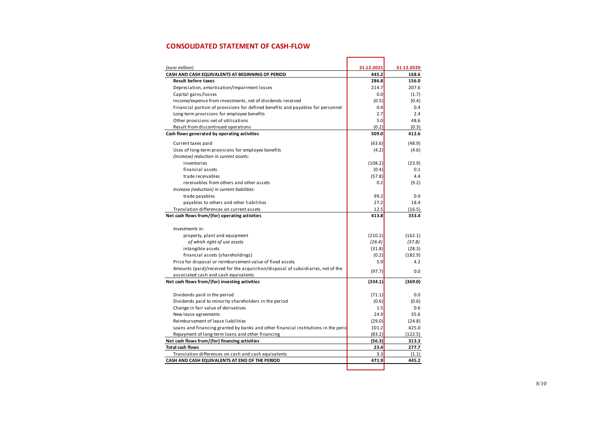### **CONSOLIDATED STATEMENT OF CASH-FLOW**

| (euro million)                                                                     | 31.12.2021     | 31.12.2020     |
|------------------------------------------------------------------------------------|----------------|----------------|
| CASH AND CASH EQUIVALENTS AT BEGINNING OF PERIOD<br><b>Result before taxes</b>     | 445.2<br>286.8 | 168.6<br>156.0 |
| Depreciation, amortisation/Impairment losses                                       | 214.7          | 207.6          |
| Capital gains/losses                                                               | 0.0            | (1.7)          |
| Income/expense from investments, net of dividends received                         | (0.5)          | (0.4)          |
| Financial portion of provisions for defined benefits and payables for personnel    | 0.4            | 0.4            |
| Long-term provisions for employee benefits                                         | 2.7            | 2.4            |
| Other provisions net of utilisations                                               | 5.0            | 48.6           |
| Result from discontinued operations                                                | (0.2)          | (0.3)          |
| Cash flows generated by operating activities                                       | 509.0          | 412.6          |
|                                                                                    |                |                |
| Current taxes paid                                                                 | (63.6)         | (48.9)         |
| Uses of long-term provisions for employee benefits                                 | (4.2)          | (4.6)          |
| (Increase) reduction in current assets:                                            |                |                |
| inventories                                                                        | (108.2)        | (23.9)         |
| financial assets                                                                   | (0.4)          | 0.1            |
| trade receivables                                                                  | (57.8)         | 4.4            |
| receivables from others and other assets                                           | 0.2            | (9.2)          |
| Increase (reduction) in current liabilities:                                       |                |                |
| trade payables                                                                     | 99.2           | 0.9            |
| payables to others and other liabilities                                           | 27.2           | 18.4           |
| Translation differences on current assets                                          | 12.5           | (16.5)         |
| Net cash flows from/(for) operating activities                                     | 413.8          | 333.4          |
| Investments in:                                                                    |                |                |
| property, plant and equipment                                                      | (210.2)        | (162.1)        |
| of which right of use assets                                                       | (26.4)         | (37.8)         |
| intangible assets                                                                  | (31.8)         | (28.3)         |
| financial assets (shareholdings)                                                   | (0.2)          | (182.9)        |
| Price for disposal or reimbursement value of fixed assets                          | 5.9            | 4.2            |
| Amounts (paid)/received for the acquisition/disposal of subsidiaries, net of the   |                |                |
| associated cash and cash equivalents                                               | (97.7)         | 0.0            |
| Net cash flows from/(for) investing activities                                     | (334.1)        | (369.0)        |
|                                                                                    |                |                |
| Dividends paid in the period                                                       | (71.1)         | 0.0            |
| Dividends paid to minority shareholders in the period                              | (0.6)          | (0.6)          |
| Change in fair value of derivatives                                                | 1.5            | 0.6            |
| New lease agreements                                                               | 24.9           | 35.6           |
| Reimbursement of lease liabilities                                                 | (29.0)         | (24.8)         |
| Loans and financing granted by banks and other financial institutions in the peric | 101.2          | 425.0          |
| Repayment of long-term loans and other financing                                   | (83.2)         | (122.5)        |
| Net cash flows from/(for) financing activities                                     | (56.3)         | 313.3          |
| <b>Total cash flows</b>                                                            | 23.4           | 277.7          |
| Translation differences on cash and cash equivalents                               | 3.3            | (1.1)          |
| CASH AND CASH EQUIVALENTS AT END OF THE PERIOD                                     | 471.9          | 445.2          |
|                                                                                    |                |                |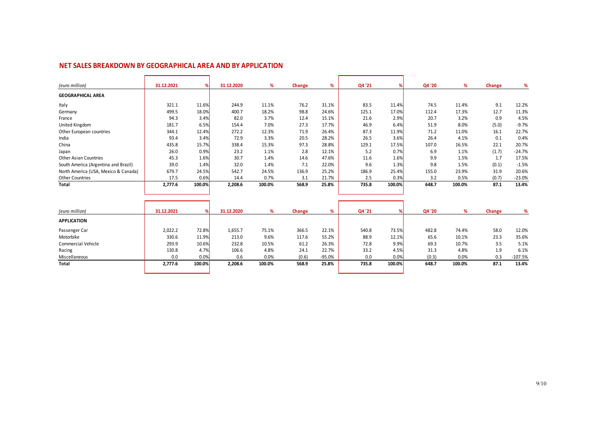### **NET SALES BREAKDOWN BY GEOGRAPHICAL AREA AND BY APPLICATION**

| (euro million)                       | 31.12.2021 | %      | 31.12.2020 | %      | Change | %     | Q4 '21 |        | Q4 '20 | %      | Change | %        |
|--------------------------------------|------------|--------|------------|--------|--------|-------|--------|--------|--------|--------|--------|----------|
| <b>GEOGRAPHICAL AREA</b>             |            |        |            |        |        |       |        |        |        |        |        |          |
| Italy                                | 321.1      | 11.6%  | 244.9      | 11.1%  | 76.2   | 31.1% | 83.5   | 11.4%  | 74.5   | 11.4%  | 9.1    | 12.2%    |
| Germany                              | 499.5      | 18.0%  | 400.7      | 18.2%  | 98.8   | 24.6% | 125.1  | 17.0%  | 112.4  | 17.3%  | 12.7   | 11.3%    |
| France                               | 94.3       | 3.4%   | 82.0       | 3.7%   | 12.4   | 15.1% | 21.6   | 2.9%   | 20.7   | 3.2%   | 0.9    | 4.5%     |
| United Kingdom                       | 181.7      | 6.5%   | 154.4      | 7.0%   | 27.3   | 17.7% | 46.9   | 6.4%   | 51.9   | 8.0%   | (5.0)  | $-9.7%$  |
| Other European countries             | 344.1      | 12.4%  | 272.2      | 12.3%  | 71.9   | 26.4% | 87.3   | 11.9%  | 71.2   | 11.0%  | 16.1   | 22.7%    |
| India                                | 93.4       | 3.4%   | 72.9       | 3.3%   | 20.5   | 28.2% | 26.5   | 3.6%   | 26.4   | 4.1%   | 0.1    | 0.4%     |
| China                                | 435.8      | 15.7%  | 338.4      | 15.3%  | 97.3   | 28.8% | 129.1  | 17.5%  | 107.0  | 16.5%  | 22.1   | 20.7%    |
| Japan                                | 26.0       | 0.9%   | 23.2       | 1.1%   | 2.8    | 12.1% | 5.2    | 0.7%   | 6.9    | 1.1%   | (1.7)  | $-24.7%$ |
| <b>Other Asian Countries</b>         | 45.3       | 1.6%   | 30.7       | 1.4%   | 14.6   | 47.6% | 11.6   | 1.6%   | 9.9    | 1.5%   | 1.7    | 17.5%    |
| South America (Argentina and Brazil) | 39.0       | 1.4%   | 32.0       | 1.4%   | 7.1    | 22.0% | 9.6    | 1.3%   | 9.8    | 1.5%   | (0.1)  | $-1.5%$  |
| North America (USA, Mexico & Canada) | 679.7      | 24.5%  | 542.7      | 24.5%  | 136.9  | 25.2% | 186.9  | 25.4%  | 155.0  | 23.9%  | 31.9   | 20.6%    |
| <b>Other Countries</b>               | 17.5       | 0.6%   | 14.4       | 0.7%   | 3.1    | 21.7% | 2.5    | 0.3%   | 3.2    | 0.5%   | (0.7)  | $-23.0%$ |
| Total                                | 2,777.6    | 100.0% | 2,208.6    | 100.0% | 568.9  | 25.8% | 735.8  | 100.0% | 648.7  | 100.0% | 87.1   | 13.4%    |
|                                      |            |        |            |        |        |       |        |        |        |        |        |          |
|                                      |            |        |            |        |        |       |        |        |        |        |        |          |
|                                      |            |        |            |        |        |       |        |        |        |        |        |          |

| (euro million)     | 31.12.2021 | $\alpha$ | 31.12.2020 |        | Change | %        | Q4 '21 |        | Q4 '20 |        | Change |           |
|--------------------|------------|----------|------------|--------|--------|----------|--------|--------|--------|--------|--------|-----------|
| <b>APPLICATION</b> |            |          |            |        |        |          |        |        |        |        |        |           |
| Passenger Car      | 2,022.2    | 72.8%    | 1,655.7    | 75.1%  | 366.5  | 22.1%    | 540.8  | 73.5%  | 482.8  | 74.4%  | 58.0   | 12.0%     |
| Motorbike          | 330.6      | 11.9%    | 213.0      | 9.6%   | 117.6  | 55.2%    | 88.9   | 12.1%  | 65.6   | 10.1%  | 23.3   | 35.6%     |
| Commercial Vehicle | 293.9      | 10.6%    | 232.8      | 10.5%  | 61.2   | 26.3%    | 72.8   | 9.9%   | 69.3   | 10.7%  | 3.5    | 5.1%      |
| Racing             | 130.8      | 4.7%     | 106.6      | 4.8%   | 24.1   | 22.7%    | 33.2   | 4.5%   | 31.3   | 4.8%   | 1.9    | 6.1%      |
| Miscellaneous      | 0.0        | 0.0%     | 0.6        | 0.0%   | (0.6)  | $-95.0%$ | 0.0    | 0.0%   | (0.3)  | 0.0%   | 0.3    | $-107.5%$ |
| Total              | 2.777.6    | 100.0%   | 2.208.6    | 100.0% | 568.9  | 25.8%    | 735.8  | 100.0% | 648.7  | 100.0% | 87.1   | 13.4%     |